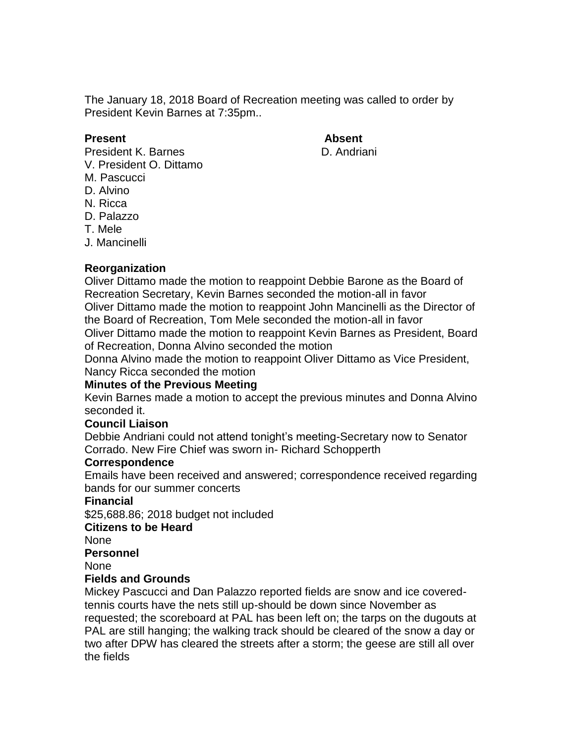The January 18, 2018 Board of Recreation meeting was called to order by President Kevin Barnes at 7:35pm..

#### **Present Absent**

President K. Barnes **D. Andriani** 

- V. President O. Dittamo
- M. Pascucci
- D. Alvino
- N. Ricca
- D. Palazzo
- T. Mele
- J. Mancinelli

# **Reorganization**

Oliver Dittamo made the motion to reappoint Debbie Barone as the Board of Recreation Secretary, Kevin Barnes seconded the motion-all in favor Oliver Dittamo made the motion to reappoint John Mancinelli as the Director of the Board of Recreation, Tom Mele seconded the motion-all in favor Oliver Dittamo made the motion to reappoint Kevin Barnes as President, Board of Recreation, Donna Alvino seconded the motion

Donna Alvino made the motion to reappoint Oliver Dittamo as Vice President, Nancy Ricca seconded the motion

# **Minutes of the Previous Meeting**

Kevin Barnes made a motion to accept the previous minutes and Donna Alvino seconded it.

# **Council Liaison**

Debbie Andriani could not attend tonight's meeting-Secretary now to Senator Corrado. New Fire Chief was sworn in- Richard Schopperth

# **Correspondence**

Emails have been received and answered; correspondence received regarding bands for our summer concerts

# **Financial**

\$25,688.86; 2018 budget not included

# **Citizens to be Heard**

None

**Personnel**

None

# **Fields and Grounds**

Mickey Pascucci and Dan Palazzo reported fields are snow and ice coveredtennis courts have the nets still up-should be down since November as requested; the scoreboard at PAL has been left on; the tarps on the dugouts at PAL are still hanging; the walking track should be cleared of the snow a day or two after DPW has cleared the streets after a storm; the geese are still all over the fields